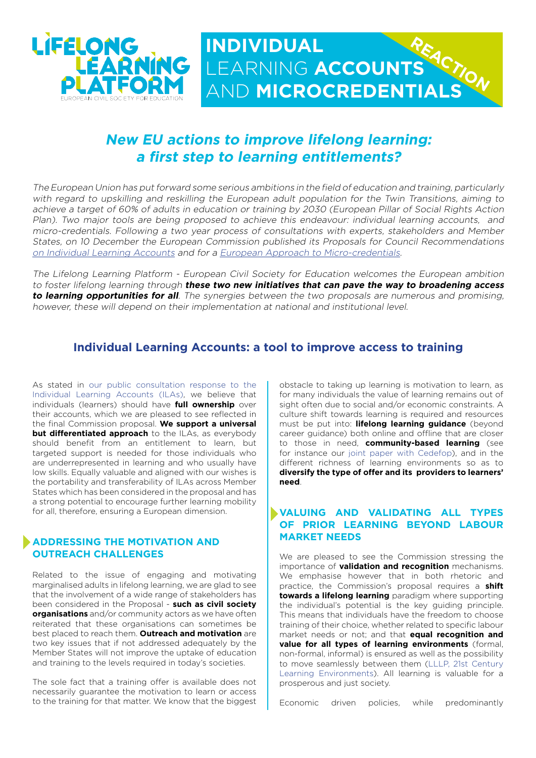

# **New EU actions to improve lifelong learning: a first step to learning entitlements?**

The European Union has put forward some serious ambitions in the field of education and training, particularly with regard to upskilling and reskilling the European adult population for the Twin Transitions, aiming to achieve a target of 60% of adults in education or training by 2030 (European Pillar of Social Rights Action Plan). Two major tools are being proposed to achieve this endeavour: individual learning accounts, and micro-credentials. Following a two year process of consultations with experts, stakeholders and Member States, on 10 December the European Commission published its Proposals for Council Recommendations [on Individual Learning Accounts](https://eur-lex.europa.eu/legal-content/EN/TXT/PDF/?uri=CELEX:52021DC0773&from=EN) and for a [European Approach to Micro-credentials](https://eur-lex.europa.eu/legal-content/EN/TXT/?uri=CELEX:52021DC0770).

The Lifelong Learning Platform - European Civil Society for Education welcomes the European ambition to foster lifelong learning through **these two new initiatives that can pave the way to broadening access to learning opportunities for all**. The synergies between the two proposals are numerous and promising, however, these will depend on their implementation at national and institutional level.

### **Individual Learning Accounts: a tool to improve access to training**

As stated in [our public consultation response to the](https://lllplatform.eu/news/surfing-the-momentum-for-lifelong-learning-opportunities-individual-learning-accounts-and-microcredentials/)  [Individual Learning Accounts \(ILAs\),](https://lllplatform.eu/news/surfing-the-momentum-for-lifelong-learning-opportunities-individual-learning-accounts-and-microcredentials/) we believe that individuals (learners) should have **full ownership** over their accounts, which we are pleased to see reflected in the final Commission proposal. **We support a universal but differentiated approach** to the ILAs, as everybody should benefit from an entitlement to learn, but targeted support is needed for those individuals who are underrepresented in learning and who usually have low skills. Equally valuable and aligned with our wishes is the portability and transferability of ILAs across Member States which has been considered in the proposal and has a strong potential to encourage further learning mobility for all, therefore, ensuring a European dimension.

### **ADDRESSING THE MOTIVATION AND OUTREACH CHALLENGES**

Related to the issue of engaging and motivating marginalised adults in lifelong learning, we are glad to see that the involvement of a wide range of stakeholders has been considered in the Proposal - **such as civil society organisations** and/or community actors as we have often reiterated that these organisations can sometimes be best placed to reach them. **Outreach and motivation** are two key issues that if not addressed adequately by the Member States will not improve the uptake of education and training to the levels required in today's societies.

The sole fact that a training offer is available does not necessarily guarantee the motivation to learn or access to the training for that matter. We know that the biggest

obstacle to taking up learning is motivation to learn, as for many individuals the value of learning remains out of sight often due to social and/or economic constraints. A culture shift towards learning is required and resources must be put into: **lifelong learning guidance** (beyond career guidance) both online and offline that are closer to those in need, **community-based learning** (see for instance our [joint paper with Cedefop\)](https://lllplatform.eu/lll/wp-content/uploads/2019/10/BriefingPaper_CLLC_Online_NEW.pdf), and in the different richness of learning environments so as to **diversify the type of offer and its providers to learners' need**.

### **VALUING AND VALIDATING ALL TYPES OF PRIOR LEARNING BEYOND LABOUR MARKET NEEDS**

We are pleased to see the Commission stressing the importance of **validation and recognition** mechanisms. We emphasise however that in both rhetoric and practice, the Commission's proposal requires a **shift towards a lifelong learning** paradigm where supporting the individual's potential is the key guiding principle. This means that individuals have the freedom to choose training of their choice, whether related to specific labour market needs or not; and that **equal recognition and value for all types of learning environments** (formal, non-formal, informal) is ensured as well as the possibility to move seamlessly between them ([LLLP, 21st Century](http://lllplatform.eu/lll/wp-content/uploads/2019/10/LLLP-Position-paper-21CLE.pdf) [Learning Environments\)](http://lllplatform.eu/lll/wp-content/uploads/2019/10/LLLP-Position-paper-21CLE.pdf). All learning is valuable for a prosperous and just society.

Economic driven policies, while predominantly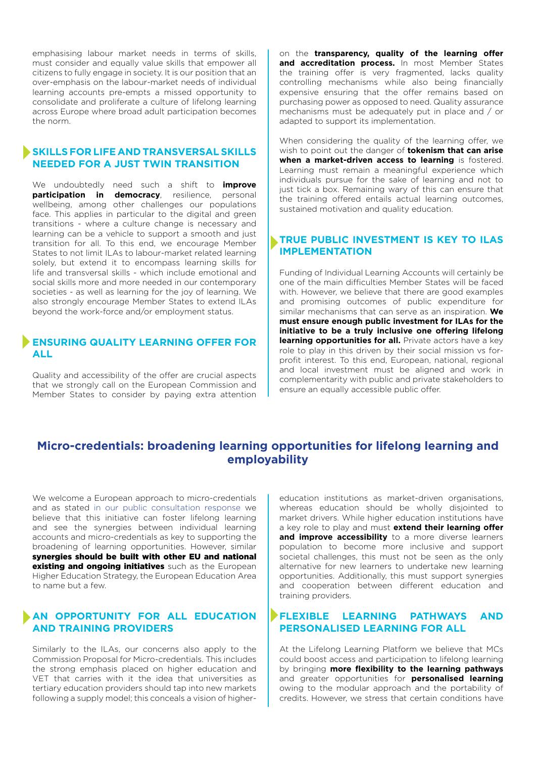emphasising labour market needs in terms of skills, must consider and equally value skills that empower all citizens to fully engage in society. It is our position that an over-emphasis on the labour-market needs of individual learning accounts pre-empts a missed opportunity to consolidate and proliferate a culture of lifelong learning across Europe where broad adult participation becomes the norm.

### **SKILLS FOR LIFE AND TRANSVERSAL SKILLS NEEDED FOR A JUST TWIN TRANSITION**

We undoubtedly need such a shift to **improve participation in democracy**, resilience, personal wellbeing, among other challenges our populations face. This applies in particular to the digital and green transitions - where a culture change is necessary and learning can be a vehicle to support a smooth and just transition for all. To this end, we encourage Member States to not limit ILAs to labour-market related learning solely, but extend it to encompass learning skills for life and transversal skills - which include emotional and social skills more and more needed in our contemporary societies - as well as learning for the joy of learning. We also strongly encourage Member States to extend ILAs beyond the work-force and/or employment status.

### **ENSURING QUALITY LEARNING OFFER FOR ALL**

Quality and accessibility of the offer are crucial aspects that we strongly call on the European Commission and Member States to consider by paying extra attention on the **transparency, quality of the learning offer**  and **accreditation process.** In most Member States the training offer is very fragmented, lacks quality controlling mechanisms while also being financially expensive ensuring that the offer remains based on purchasing power as opposed to need. Quality assurance mechanisms must be adequately put in place and / or adapted to support its implementation.

When considering the quality of the learning offer, we wish to point out the danger of **tokenism that can arise when a market-driven access to learning** is fostered. Learning must remain a meaningful experience which individuals pursue for the sake of learning and not to just tick a box. Remaining wary of this can ensure that the training offered entails actual learning outcomes, sustained motivation and quality education.

### **TRUE PUBLIC INVESTMENT IS KEY TO ILAS IMPLEMENTATION**

Funding of Individual Learning Accounts will certainly be one of the main difficulties Member States will be faced with. However, we believe that there are good examples and promising outcomes of public expenditure for similar mechanisms that can serve as an inspiration. **We must ensure enough public investment for ILAs for the initiative to be a truly inclusive one offering lifelong learning opportunities for all.** Private actors have a key role to play in this driven by their social mission vs forprofit interest. To this end, European, national, regional and local investment must be aligned and work in complementarity with public and private stakeholders to ensure an equally accessible public offer.

## **Micro-credentials: broadening learning opportunities for lifelong learning and employability**

We welcome a European approach to micro-credentials and as stated [in our public consultation response](https://ec.europa.eu/info/law/better-regulation/have-your-say/initiatives/12858-Micro-credentials-broadening-learning-opportunities-for-lifelong-learning-and-employability/F2004769_en) we believe that this initiative can foster lifelong learning and see the synergies between individual learning accounts and micro-credentials as key to supporting the broadening of learning opportunities. However, similar synergies should be built with other EU and national existing and ongoing initiatives such as the European Higher Education Strategy, the European Education Area to name but a few.

### **AN OPPORTUNITY FOR ALL EDUCATION AND TRAINING PROVIDERS**

Similarly to the ILAs, our concerns also apply to the Commission Proposal for Micro-credentials. This includes the strong emphasis placed on higher education and VET that carries with it the idea that universities as tertiary education providers should tap into new markets following a supply model; this conceals a vision of highereducation institutions as market-driven organisations, whereas education should be wholly disjointed to market drivers. While higher education institutions have a key role to play and must **extend their learning offer**  and improve accessibility to a more diverse learners population to become more inclusive and support societal challenges, this must not be seen as the only alternative for new learners to undertake new learning opportunities. Additionally, this must support synergies and cooperation between different education and training providers.

### **FLEXIBLE LEARNING PATHWAYS AND PERSONALISED LEARNING FOR ALL**

At the Lifelong Learning Platform we believe that MCs could boost access and participation to lifelong learning by bringing **more flexibility to the learning pathways** and greater opportunities for **personalised learning** owing to the modular approach and the portability of credits. However, we stress that certain conditions have